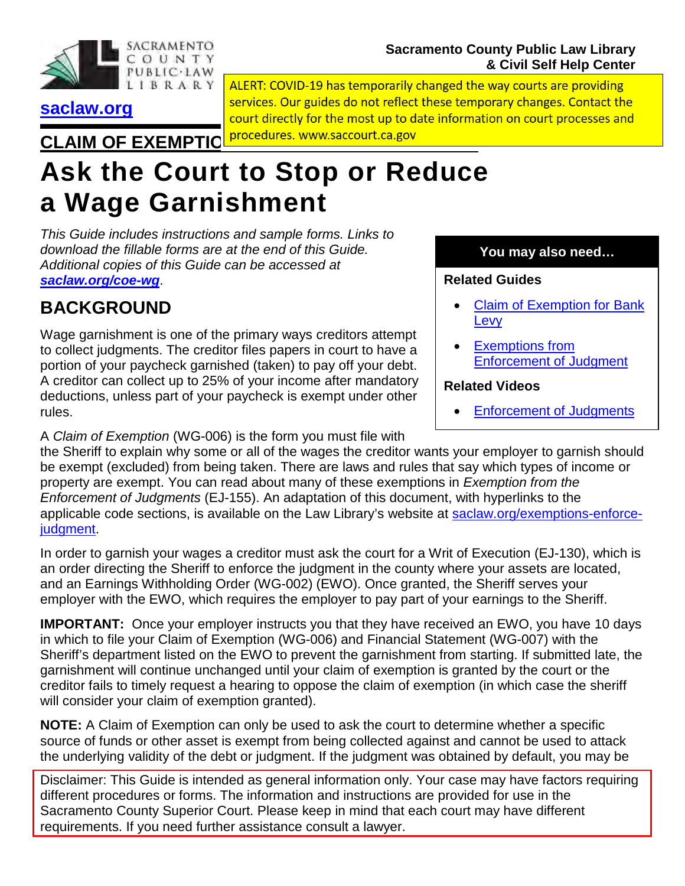

#### **Sacramento County Public Law Library & Civil Self Help Center**

**[saclaw.org](https://saclaw.org/)**

ALERT: COVID-19 has temporarily changed the way courts are providing services. Our guides do not reflect these temporary changes. Contact the court directly for the most up to date information on court processes and **CLAIM OF EXEMPTIC procedures.** www.saccourt.ca.gov

# **Ask the Court to Stop or Reduce a Wage Garnishment**

*This Guide includes instructions and sample forms. Links to download the fillable forms are at the end of this Guide. Additional copies of this Guide can be accessed at [saclaw.org/coe-wg](https://saclaw.org/coe-wg)*.

## **BACKGROUND**

Wage garnishment is one of the primary ways creditors attempt to collect judgments. The creditor files papers in court to have a portion of your paycheck garnished (taken) to pay off your debt. A creditor can collect up to 25% of your income after mandatory deductions, unless part of your paycheck is exempt under other rules.

**You may also need…**

#### **Related Guides**

- [Claim of Exemption](https://saclaw.org/coe-bank-levy) for Bank [Levy](https://saclaw.org/coe-bank-levy)
- **[Exemptions from](https://saclaw.org/exemptions-enforce-judgment)** [Enforcement of Judgment](https://saclaw.org/exemptions-enforce-judgment)

#### **Related Videos**

• [Enforcement of Judgments](https://saclaw.org/law-101/self-help-videos/#enforcement)

A *Claim of Exemption* (WG-006) is the form you must file with the Sheriff to explain why some or all of the wages the creditor wants your employer to garnish should be exempt (excluded) from being taken. There are laws and rules that say which types of income or property are exempt. You can read about many of these exemptions in *Exemption from the Enforcement of Judgments* (EJ-155). An adaptation of this document, with hyperlinks to the applicable code sections, is available on the Law Library's website at [saclaw.org/exemptions-enforce](https://saclaw.org/exemptions-enforce-judgment)[judgment.](https://saclaw.org/exemptions-enforce-judgment)

In order to garnish your wages a creditor must ask the court for a Writ of Execution (EJ-130), which is an order directing the Sheriff to enforce the judgment in the county where your assets are located, and an Earnings Withholding Order (WG-002) (EWO). Once granted, the Sheriff serves your employer with the EWO, which requires the employer to pay part of your earnings to the Sheriff.

**IMPORTANT:** Once your employer instructs you that they have received an EWO, you have 10 days in which to file your Claim of Exemption (WG-006) and Financial Statement (WG-007) with the Sheriff's department listed on the EWO to prevent the garnishment from starting. If submitted late, the garnishment will continue unchanged until your claim of exemption is granted by the court or the creditor fails to timely request a hearing to oppose the claim of exemption (in which case the sheriff will consider your claim of exemption granted).

**NOTE:** A Claim of Exemption can only be used to ask the court to determine whether a specific source of funds or other asset is exempt from being collected against and cannot be used to attack the underlying validity of the debt or judgment. If the judgment was obtained by default, you may be

Disclaimer: This Guide is intended as general information only. Your case may have factors requiring different procedures or forms. The information and instructions are provided for use in the Sacramento County Superior Court. Please keep in mind that each court may have different requirements. If you need further assistance consult a lawyer.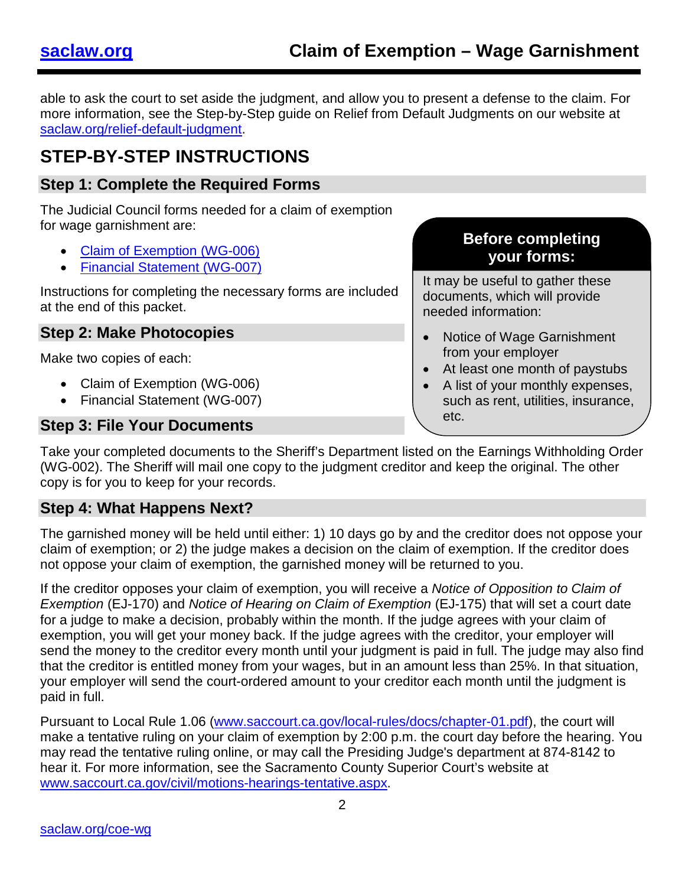able to ask the court to set aside the judgment, and allow you to present a defense to the claim. For more information, see the Step-by-Step guide on Relief from Default Judgments on our website at [saclaw.org/relief-default-judgment.](https://saclaw.org/relief-default-judgment)

### **STEP-BY-STEP INSTRUCTIONS**

### **Step 1: Complete the Required Forms**

The Judicial Council forms needed for a claim of exemption for wage garnishment are:

- [Claim of Exemption \(WG-006\)](http://www.courts.ca.gov/documents/wg006.pdf)
- [Financial Statement \(WG-007\)](http://www.courts.ca.gov/documents/wg007.pdf)

Instructions for completing the necessary forms are included at the end of this packet.

#### **Step 2: Make Photocopies**

Make two copies of each:

- Claim of Exemption (WG-006)
- Financial Statement (WG-007)

#### **Step 3: File Your Documents**

#### **Before completing your forms:**

It may be useful to gather these documents, which will provide needed information:

- Notice of Wage Garnishment from your employer
- At least one month of paystubs
- A list of your monthly expenses, such as rent, utilities, insurance, etc.

Take your completed documents to the Sheriff's Department listed on the Earnings Withholding Order (WG-002). The Sheriff will mail one copy to the judgment creditor and keep the original. The other copy is for you to keep for your records.

#### **Step 4: What Happens Next?**

The garnished money will be held until either: 1) 10 days go by and the creditor does not oppose your claim of exemption; or 2) the judge makes a decision on the claim of exemption. If the creditor does not oppose your claim of exemption, the garnished money will be returned to you.

If the creditor opposes your claim of exemption, you will receive a *Notice of Opposition to Claim of Exemption* (EJ-170) and *Notice of Hearing on Claim of Exemption* (EJ-175) that will set a court date for a judge to make a decision, probably within the month. If the judge agrees with your claim of exemption, you will get your money back. If the judge agrees with the creditor, your employer will send the money to the creditor every month until your judgment is paid in full. The judge may also find that the creditor is entitled money from your wages, but in an amount less than 25%. In that situation, your employer will send the court-ordered amount to your creditor each month until the judgment is paid in full.

Pursuant to Local Rule 1.06 [\(www.saccourt.ca.gov/local-rules/docs/chapter-01.pdf\)](http://www.saccourt.ca.gov/local-rules/docs/chapter-01.pdf), the court will make a tentative ruling on your claim of exemption by 2:00 p.m. the court day before the hearing. You may read the tentative ruling online, or may call the Presiding Judge's department at 874-8142 to hear it. For more information, see the Sacramento County Superior Court's website at [www.saccourt.ca.gov/civil/motions-hearings-tentative.aspx.](http://www.saccourt.ca.gov/civil/motions-hearings-tentative.aspx)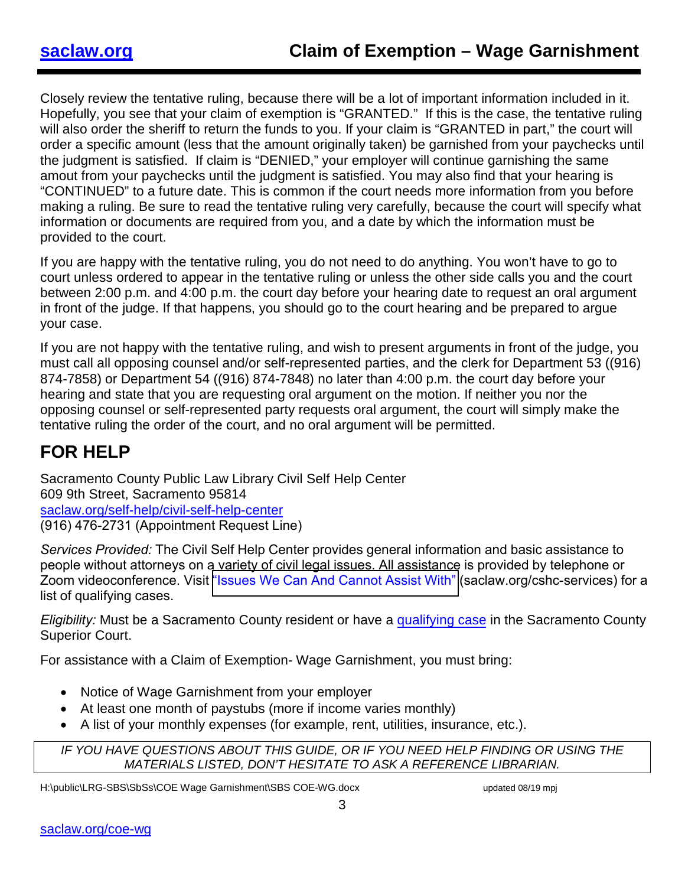Closely review the tentative ruling, because there will be a lot of important information included in it. Hopefully, you see that your claim of exemption is "GRANTED." If this is the case, the tentative ruling will also order the sheriff to return the funds to you. If your claim is "GRANTED in part," the court will order a specific amount (less that the amount originally taken) be garnished from your paychecks until the judgment is satisfied. If claim is "DENIED," your employer will continue garnishing the same amout from your paychecks until the judgment is satisfied. You may also find that your hearing is "CONTINUED" to a future date. This is common if the court needs more information from you before making a ruling. Be sure to read the tentative ruling very carefully, because the court will specify what information or documents are required from you, and a date by which the information must be provided to the court.

If you are happy with the tentative ruling, you do not need to do anything. You won't have to go to court unless ordered to appear in the tentative ruling or unless the other side calls you and the court between 2:00 p.m. and 4:00 p.m. the court day before your hearing date to request an oral argument in front of the judge. If that happens, you should go to the court hearing and be prepared to argue your case.

If you are not happy with the tentative ruling, and wish to present arguments in front of the judge, you must call all opposing counsel and/or self-represented parties, and the clerk for Department 53 ((916) 874-7858) or Department 54 ((916) 874-7848) no later than 4:00 p.m. the court day before your hearing and state that you are requesting oral argument on the motion. If neither you nor the opposing counsel or self-represented party requests oral argument, the court will simply make the tentative ruling the order of the court, and no oral argument will be permitted.

### **FOR HELP**

Sacramento County Public Law Library Civil Self Help Center 609 9th Street, Sacramento 95814 [saclaw.org/self-help/civil-self-help-center](https://saclaw.org/self-help/civil-self-help-center/) (916) 476-2731 (Appointment Request Line)

*Services Provided:* The Civil Self Help Center provides general information and basic assistance to people without attorneys on a variety of civil legal issues. All assistance is provided by telephone or Zoom videoconference. Visit ["Issues We Can And Cannot Assist With"](https://saclaw.org/cshc-services) (saclaw.org/cshc-services) for a list of qualifying cases.

*Eligibility:* Must be a Sacramento County resident or have a [qualifying](https://saclaw.org/self-help/civil-self-help-center/cshc-services/) case in the Sacramento County Superior Court.

For assistance with a Claim of Exemption- Wage Garnishment, you must bring:

- Notice of Wage Garnishment from your employer
- At least one month of paystubs (more if income varies monthly)
- A list of your monthly expenses (for example, rent, utilities, insurance, etc.).

IF YOU HAVE QUESTIONS ABOUT THIS GUIDE, OR IF YOU NEED HELP FINDING OR USING THE *MATERIALS LISTED, DON'T HESITATE TO ASK A REFERENCE LIBRARIAN.* 

H:\public\LRG-SBS\SbSs\COE Wage Garnishment\SBS COE-WG.docx updated 08/19 mpj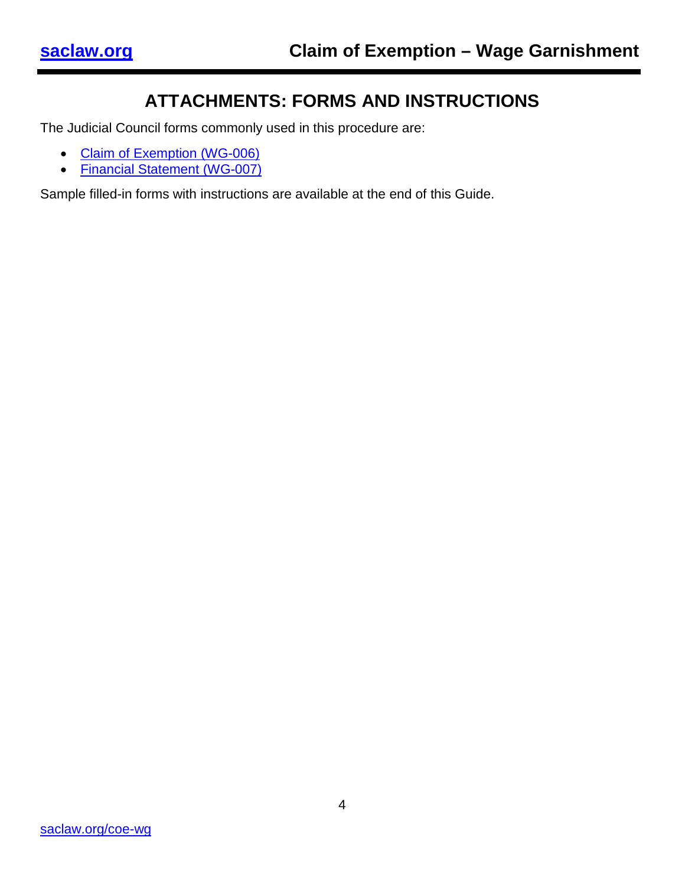### **ATTACHMENTS: FORMS AND INSTRUCTIONS**

The Judicial Council forms commonly used in this procedure are:

- [Claim of Exemption \(WG-006\)](http://www.courts.ca.gov/documents/wg006.pdf)
- [Financial Statement \(WG-007\)](http://www.courts.ca.gov/documents/wg007.pdf)

Sample filled-in forms with instructions are available at the end of this Guide.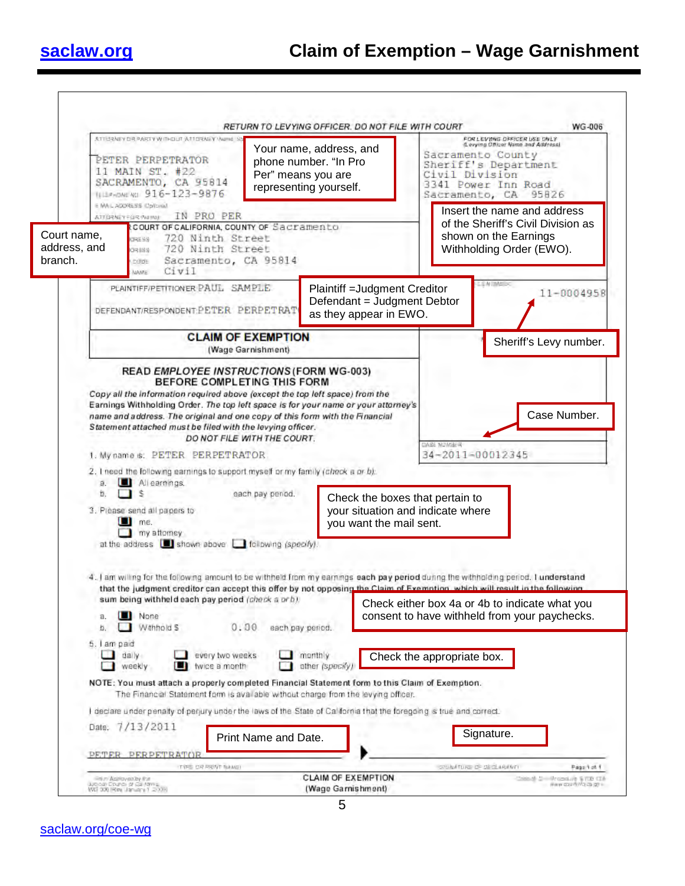

|                                        | ATTISRNEY DR. PARTY WITHOUT ATTISRNEY Wome<br>PETER PERPETRATOR<br>phone number. "In Pro<br>11 MAIN ST. #22<br>Per" means you are<br>SACRAMENTO, CA 95814<br>representing yourself.<br>TELEPHONE NO. 916-123-9876<br>E MAIL ADDRESS (Colloula)                                                                                   | Your name, address, and                                                                | FOR LEVING OFFICER USE ONLY<br>IL evying Officer Name and Address)<br>Sacramento County<br>Sheriff's Department<br>Civil Division<br>3341 Power Inn Road<br>Sacramento, CA 95826 |
|----------------------------------------|----------------------------------------------------------------------------------------------------------------------------------------------------------------------------------------------------------------------------------------------------------------------------------------------------------------------------------|----------------------------------------------------------------------------------------|----------------------------------------------------------------------------------------------------------------------------------------------------------------------------------|
| Court name,<br>address, and<br>branch. | IN PRO PER<br>ATTORNEY FOR WINDL<br>COURT OF CALIFORNIA, COUNTY OF Sacramento<br>720 Ninth Street<br><b>BERTHER</b><br>720 Ninth Street<br>88880<br>Sacramento, CA 95814<br><b>DODE</b><br>Civil<br><b>MAME</b>                                                                                                                  |                                                                                        | Insert the name and address<br>of the Sheriff's Civil Division as<br>shown on the Earnings<br>Withholding Order (EWO).                                                           |
|                                        | PLAINTIFF/PETITIONER PAUL SAMPLE<br>DEFENDANT/RESPONDENT:PETER PERPETRAT                                                                                                                                                                                                                                                         | Plaintiff = Judgment Creditor<br>Defendant = Judgment Debtor<br>as they appear in EWO. | <b>LEW IMABES</b><br>$11 - 0004958$                                                                                                                                              |
|                                        | <b>CLAIM OF EXEMPTION</b><br>(Wage Garnishment)                                                                                                                                                                                                                                                                                  | Sheriff's Levy number.                                                                 |                                                                                                                                                                                  |
|                                        | 1. My name s: PETER PERPETRATOR<br>2. I need the following earnings to support myself or my family (check a or b):<br>a. Allearnings.<br>'S<br>b.<br>each pay penod.                                                                                                                                                             | Check the boxes that pertain to                                                        | <b>CASE NOMBER</b><br>34-2011-00012345                                                                                                                                           |
|                                        | 3. Please send all papers to<br>me.<br>. .<br>my attorney<br>at the address is shown above in following (specify).                                                                                                                                                                                                               | your situation and indicate where<br>you want the mail sent.                           |                                                                                                                                                                                  |
|                                        | 4. I am willing for the following amount to be withheld from my earnings each pay period during the withholding period. I understand<br>that the judgment creditor can accept this offer by not opposing the Claim of Exemption, which will result in the following<br>sum being withheld each pay period (check a orb).         |                                                                                        | Check either box 4a or 4b to indicate what you                                                                                                                                   |
|                                        | None<br>а.<br>Withhold S<br>0.00<br>each pay period.<br>b.<br>5. I am paid                                                                                                                                                                                                                                                       |                                                                                        | consent to have withheld from your paychecks.                                                                                                                                    |
|                                        | dally<br>every two weeks<br>weekly<br>twice a month<br>ш                                                                                                                                                                                                                                                                         | monthly<br>other (specify)                                                             | Check the appropriate box.                                                                                                                                                       |
|                                        |                                                                                                                                                                                                                                                                                                                                  |                                                                                        |                                                                                                                                                                                  |
|                                        | NOTE: You must attach a properly completed Financial Statement form to this Claim of Exemption.<br>The Financial Statement form is available without charge from the levying officer.<br>I declare under penalty of perjury under the laws of the State of California that the foregoing is true and correct.<br>Date: 7/13/2011 |                                                                                        |                                                                                                                                                                                  |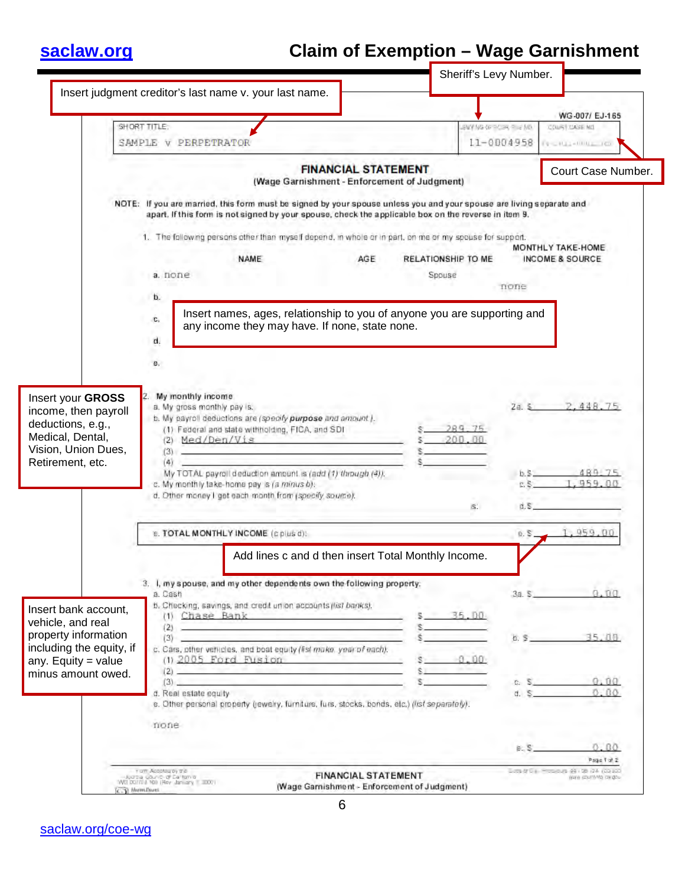# **[saclaw.org](https://saclaw.org/) Claim of Exemption – Wage Garnishment**

|                                                                                                                                              |                                                                      |                                                                                                                                                                                                                                                                                                                                                                                                                                                                                                                                                                                                                                                                                                                                                                                                                                 |                                                                            |                                                                                                                                                                                                                              | WG-007/ EJ-165                                                          |
|----------------------------------------------------------------------------------------------------------------------------------------------|----------------------------------------------------------------------|---------------------------------------------------------------------------------------------------------------------------------------------------------------------------------------------------------------------------------------------------------------------------------------------------------------------------------------------------------------------------------------------------------------------------------------------------------------------------------------------------------------------------------------------------------------------------------------------------------------------------------------------------------------------------------------------------------------------------------------------------------------------------------------------------------------------------------|----------------------------------------------------------------------------|------------------------------------------------------------------------------------------------------------------------------------------------------------------------------------------------------------------------------|-------------------------------------------------------------------------|
|                                                                                                                                              | SHORT TITLE:                                                         |                                                                                                                                                                                                                                                                                                                                                                                                                                                                                                                                                                                                                                                                                                                                                                                                                                 |                                                                            | EW Ma Gred as ella MM.                                                                                                                                                                                                       | COURT CASE NO.                                                          |
|                                                                                                                                              | SAMPLE V PERPETRATOR                                                 |                                                                                                                                                                                                                                                                                                                                                                                                                                                                                                                                                                                                                                                                                                                                                                                                                                 |                                                                            |                                                                                                                                                                                                                              | 11-0004958<br>THE RESIDENCE.                                            |
|                                                                                                                                              |                                                                      |                                                                                                                                                                                                                                                                                                                                                                                                                                                                                                                                                                                                                                                                                                                                                                                                                                 | <b>FINANCIAL STATEMENT</b><br>(Wage Garnishment - Enforcement of Judgment) | Court Case Number.                                                                                                                                                                                                           |                                                                         |
|                                                                                                                                              |                                                                      |                                                                                                                                                                                                                                                                                                                                                                                                                                                                                                                                                                                                                                                                                                                                                                                                                                 |                                                                            | NOTE: If you are married, this form must be signed by your spouse unless you and your spouse are living separate and<br>apart. If this form is not signed by your spouse, check the applicable box on the reverse in item 9. |                                                                         |
|                                                                                                                                              |                                                                      |                                                                                                                                                                                                                                                                                                                                                                                                                                                                                                                                                                                                                                                                                                                                                                                                                                 |                                                                            | 1. The following persons other than myself depend, in whole or in part, on me or my spouse for support.                                                                                                                      | MONTHLY TAKE-HOME                                                       |
|                                                                                                                                              |                                                                      | <b>NAME</b>                                                                                                                                                                                                                                                                                                                                                                                                                                                                                                                                                                                                                                                                                                                                                                                                                     | AGE                                                                        | RELATIONSHIP TO ME                                                                                                                                                                                                           | INCOME & SOURCE                                                         |
|                                                                                                                                              | a. none                                                              |                                                                                                                                                                                                                                                                                                                                                                                                                                                                                                                                                                                                                                                                                                                                                                                                                                 |                                                                            | Spouse                                                                                                                                                                                                                       | none                                                                    |
|                                                                                                                                              | b.                                                                   |                                                                                                                                                                                                                                                                                                                                                                                                                                                                                                                                                                                                                                                                                                                                                                                                                                 |                                                                            |                                                                                                                                                                                                                              |                                                                         |
| Insert your GROSS<br>income, then payroll<br>deductions, e.g.,<br>Medical, Dental,<br>Vision, Union Dues,<br>Retirement, etc.                | в.<br>My monthly income<br>a. My gross monthly pay is.<br>(3)<br>(4) | b. My payroll deductions are (specify purpose and amount).<br>(1) Federal and state withholding, FICA, and SDI<br>(2) Med/Den/Vis<br>the company of the company of the company<br>the control of the control of the control of the control of the control<br>My TOTAL payroll deduction amount is (add (1) through (4)).<br>c. My monthly take-home pay is (a minus b).<br>d. Other money I get each month from (specify source).                                                                                                                                                                                                                                                                                                                                                                                               |                                                                            | 289.75<br>200.00<br>is.                                                                                                                                                                                                      | 2.448<br>2a. S<br>489 75<br>$b.5 -$<br>959 00<br>d.S                    |
|                                                                                                                                              |                                                                      |                                                                                                                                                                                                                                                                                                                                                                                                                                                                                                                                                                                                                                                                                                                                                                                                                                 |                                                                            |                                                                                                                                                                                                                              |                                                                         |
|                                                                                                                                              |                                                                      | <b>E. TOTAL MONTHLY INCOME</b> (cplus d):                                                                                                                                                                                                                                                                                                                                                                                                                                                                                                                                                                                                                                                                                                                                                                                       |                                                                            |                                                                                                                                                                                                                              | 1.959.00<br>0. S.                                                       |
| Insert bank account,<br>vehicle, and real<br>property information<br>including the equity, if<br>any. Equity $=$ value<br>minus amount owed. | a. Cash<br>d. Real estate equity<br>none                             | 3. I, my spouse, and my other dependents own the following property:<br>b. Checking, savings, and credit union accounts (fist banks).<br>(1) Chase Bank Charles Charles Charles Charles Charles Charles Charles Charles Charles Charles Charles Charles Charles Charles Charles Charles Charles Charles Charles Charles Charles Charles Charles Charles Charles Charles<br>(2)<br>(3)<br>c. Cars, other vehicles, and boat equity (fist make, year of each).<br>$(1)$ 2005 Ford Fusion<br>(2)<br>$(3)$ (2) and 2 and 2 and 2 and 2 and 2 and 2 and 2 and 2 and 2 and 2 and 2 and 2 and 2 and 2 and 2 and 2 and 2 and 2 and 2 and 2 and 2 and 2 and 2 and 2 and 2 and 2 and 2 and 2 and 2 and 2 and 2 and 2 and 2 and 2 and 2 a<br>e. Other personal property (jewelry, furniture, furs, stocks, bonds, etc.) (fist separately). |                                                                            | Add lines c and d then insert Total Monthly Income.<br>35.00<br>$-0.00$                                                                                                                                                      | 3a. S.<br>35.00<br>b. S<br>9.09<br>c. S.<br>d. S<br>0.80<br><b>B.S.</b> |